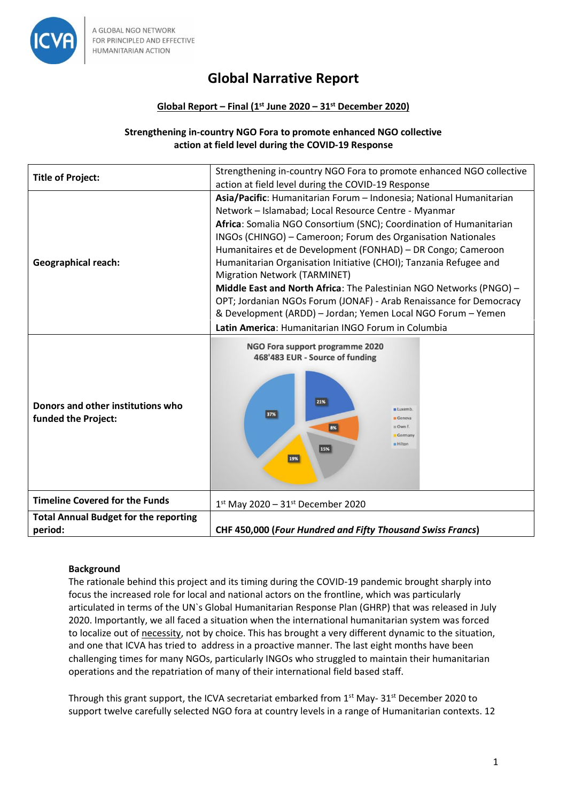

# **Global Narrative Report**

# **Global Report – Final (1st June 2020 – 31st December 2020)**

#### **Strengthening in-country NGO Fora to promote enhanced NGO collective action at field level during the COVID-19 Response**

| <b>Title of Project:</b>                                 | Strengthening in-country NGO Fora to promote enhanced NGO collective<br>action at field level during the COVID-19 Response                                                                                                                                                                                                                                                                                                                                                                                                                                                                                                                                                                                |
|----------------------------------------------------------|-----------------------------------------------------------------------------------------------------------------------------------------------------------------------------------------------------------------------------------------------------------------------------------------------------------------------------------------------------------------------------------------------------------------------------------------------------------------------------------------------------------------------------------------------------------------------------------------------------------------------------------------------------------------------------------------------------------|
| <b>Geographical reach:</b>                               | Asia/Pacific: Humanitarian Forum - Indonesia; National Humanitarian<br>Network - Islamabad; Local Resource Centre - Myanmar<br>Africa: Somalia NGO Consortium (SNC); Coordination of Humanitarian<br>INGOs (CHINGO) - Cameroon; Forum des Organisation Nationales<br>Humanitaires et de Development (FONHAD) - DR Congo; Cameroon<br>Humanitarian Organisation Initiative (CHOI); Tanzania Refugee and<br>Migration Network (TARMINET)<br>Middle East and North Africa: The Palestinian NGO Networks (PNGO) -<br>OPT; Jordanian NGOs Forum (JONAF) - Arab Renaissance for Democracy<br>& Development (ARDD) - Jordan; Yemen Local NGO Forum - Yemen<br>Latin America: Humanitarian INGO Forum in Columbia |
| Donors and other institutions who<br>funded the Project: | NGO Fora support programme 2020<br>468'483 EUR - Source of funding<br>21%<br><b>u</b> Luxemb<br>37%<br>Geneva<br>Own f.<br>8%<br>Germany<br><b>Hilton</b><br>15%<br>19%                                                                                                                                                                                                                                                                                                                                                                                                                                                                                                                                   |
| <b>Timeline Covered for the Funds</b>                    | $1^{st}$ May 2020 - 31st December 2020                                                                                                                                                                                                                                                                                                                                                                                                                                                                                                                                                                                                                                                                    |
| <b>Total Annual Budget for the reporting</b><br>period:  | CHF 450,000 (Four Hundred and Fifty Thousand Swiss Francs)                                                                                                                                                                                                                                                                                                                                                                                                                                                                                                                                                                                                                                                |

# **Background**

The rationale behind this project and its timing during the COVID-19 pandemic brought sharply into focus the increased role for local and national actors on the frontline, which was particularly articulated in terms of the UN`s Global Humanitarian Response Plan (GHRP) that was released in July 2020. Importantly, we all faced a situation when the international humanitarian system was forced to localize out of necessity, not by choice. This has brought a very different dynamic to the situation, and one that ICVA has tried to address in a proactive manner. The last eight months have been challenging times for many NGOs, particularly INGOs who struggled to maintain their humanitarian operations and the repatriation of many of their international field based staff.

Through this grant support, the ICVA secretariat embarked from  $1<sup>st</sup>$  May- 31 $<sup>st</sup>$  December 2020 to</sup> support twelve carefully selected NGO fora at country levels in a range of Humanitarian contexts. 12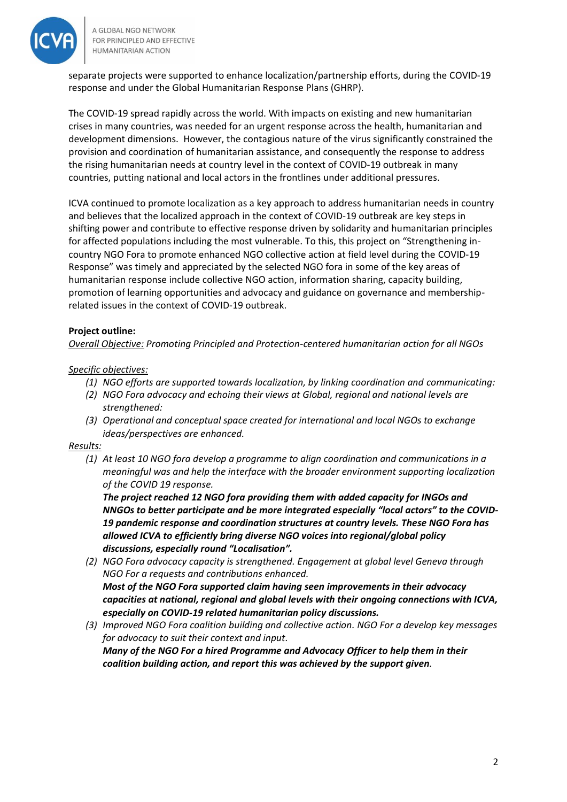

separate projects were supported to enhance localization/partnership efforts, during the COVID-19 response and under the Global Humanitarian Response Plans (GHRP).

The COVID-19 spread rapidly across the world. With impacts on existing and new humanitarian crises in many countries, was needed for an urgent response across the health, humanitarian and development dimensions. However, the contagious nature of the virus significantly constrained the provision and coordination of humanitarian assistance, and consequently the response to address the rising humanitarian needs at country level in the context of COVID-19 outbreak in many countries, putting national and local actors in the frontlines under additional pressures.

ICVA continued to promote localization as a key approach to address humanitarian needs in country and believes that the localized approach in the context of COVID-19 outbreak are key steps in shifting power and contribute to effective response driven by solidarity and humanitarian principles for affected populations including the most vulnerable. To this, this project on "Strengthening incountry NGO Fora to promote enhanced NGO collective action at field level during the COVID-19 Response" was timely and appreciated by the selected NGO fora in some of the key areas of humanitarian response include collective NGO action, information sharing, capacity building, promotion of learning opportunities and advocacy and guidance on governance and membershiprelated issues in the context of COVID-19 outbreak.

# **Project outline:**

*Overall Objective: Promoting Principled and Protection-centered humanitarian action for all NGOs*

# *Specific objectives:*

- *(1) NGO efforts are supported towards localization, by linking coordination and communicating:*
- *(2) NGO Fora advocacy and echoing their views at Global, regional and national levels are strengthened:*
- *(3) Operational and conceptual space created for international and local NGOs to exchange ideas/perspectives are enhanced.*

# *Results:*

*(1) At least 10 NGO fora develop a programme to align coordination and communications in a meaningful was and help the interface with the broader environment supporting localization of the COVID 19 response.*

*The project reached 12 NGO fora providing them with added capacity for INGOs and NNGOs to better participate and be more integrated especially "local actors" to the COVID-19 pandemic response and coordination structures at country levels. These NGO Fora has allowed ICVA to efficiently bring diverse NGO voices into regional/global policy discussions, especially round "Localisation".*

- *(2) NGO Fora advocacy capacity is strengthened. Engagement at global level Geneva through NGO For a requests and contributions enhanced. Most of the NGO Fora supported claim having seen improvements in their advocacy capacities at national, regional and global levels with their ongoing connections with ICVA, especially on COVID-19 related humanitarian policy discussions.*
- *(3) Improved NGO Fora coalition building and collective action. NGO For a develop key messages for advocacy to suit their context and input. Many of the NGO For a hired Programme and Advocacy Officer to help them in their coalition building action, and report this was achieved by the support given.*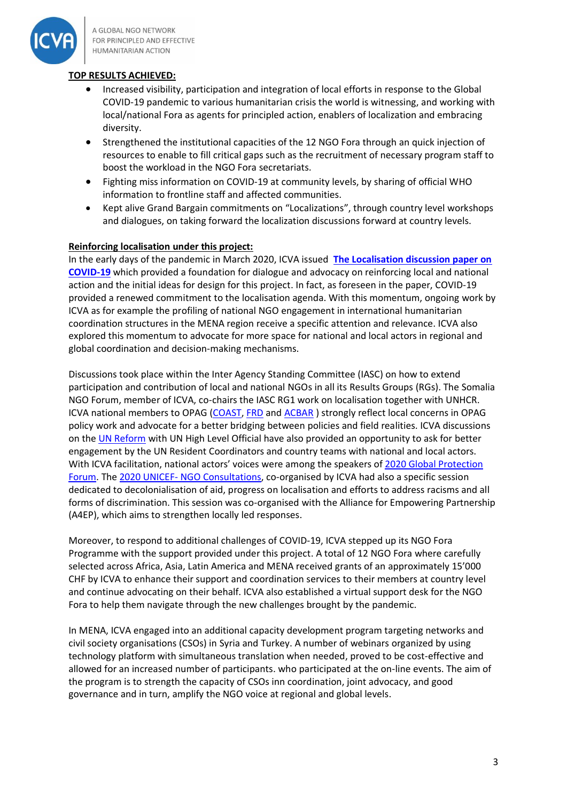

# **TOP RESULTS ACHIEVED:**

- Increased visibility, participation and integration of local efforts in response to the Global COVID-19 pandemic to various humanitarian crisis the world is witnessing, and working with local/national Fora as agents for principled action, enablers of localization and embracing diversity.
- Strengthened the institutional capacities of the 12 NGO Fora through an quick injection of resources to enable to fill critical gaps such as the recruitment of necessary program staff to boost the workload in the NGO Fora secretariats.
- Fighting miss information on COVID-19 at community levels, by sharing of official WHO information to frontline staff and affected communities.
- Kept alive Grand Bargain commitments on "Localizations", through country level workshops and dialogues, on taking forward the localization discussions forward at country levels.

# **Reinforcing localisation under this project:**

In the early days of the pandemic in March 2020, ICVA issued **[The Localisation discussion paper on](https://www.icvanetwork.org/resources/localization-covid-19-humanitarian-response)  [COVID-19](https://www.icvanetwork.org/resources/localization-covid-19-humanitarian-response)** which provided a foundation for dialogue and advocacy on reinforcing local and national action and the initial ideas for design for this project. In fact, as foreseen in the paper, COVID-19 provided a renewed commitment to the localisation agenda. With this momentum, ongoing work by ICVA as for example the profiling of national NGO engagement in international humanitarian coordination structures in the MENA region receive a specific attention and relevance. ICVA also explored this momentum to advocate for more space for national and local actors in regional and global coordination and decision-making mechanisms.

Discussions took place within the Inter Agency Standing Committee (IASC) on how to extend participation and contribution of local and national NGOs in all its Results Groups (RGs). The Somalia NGO Forum, member of ICVA, co-chairs the IASC RG1 work on localisation together with UNHCR. ICVA national members to OPAG [\(COAST,](https://coastbd.net/) [FRD](http://www.frd.org.pk/) and [ACBAR](http://www.acbar.org/) ) strongly reflect local concerns in OPAG policy work and advocate for a better bridging between policies and field realities. ICVA discussions on th[e UN Reform](https://www.icvanetwork.org/resources/icva-briefing-paper-united-nations-reform-and-potential-implications-ngos) with UN High Level Official have also provided an opportunity to ask for better engagement by the UN Resident Coordinators and country teams with national and local actors. With ICVA facilitation, national actors' voices were among the speakers of [2020 Global Protection](https://www.globalprotectioncluster.org/global-protection-forum-2020/)  [Forum.](https://www.globalprotectioncluster.org/global-protection-forum-2020/) The 2020 UNICEF- [NGO Consultations,](https://www.icvanetwork.org/resources/unicef-ngo-partnership-humanitarian-action-2020-annual-consultation-documents) co-organised by ICVA had also a specific session dedicated to decolonialisation of aid, progress on localisation and efforts to address racisms and all forms of discrimination. This session was co-organised with the Alliance for Empowering Partnership (A4EP), which aims to strengthen locally led responses.

Moreover, to respond to additional challenges of COVID-19, ICVA stepped up its NGO Fora Programme with the support provided under this project. A total of 12 NGO Fora where carefully selected across Africa, Asia, Latin America and MENA received grants of an approximately 15'000 CHF by ICVA to enhance their support and coordination services to their members at country level and continue advocating on their behalf. ICVA also established a virtual support desk for the NGO Fora to help them navigate through the new challenges brought by the pandemic.

In MENA, ICVA engaged into an additional capacity development program targeting networks and civil society organisations (CSOs) in Syria and Turkey. A number of webinars organized by using technology platform with simultaneous translation when needed, proved to be cost-effective and allowed for an increased number of participants. who participated at the on-line events. The aim of the program is to strength the capacity of CSOs inn coordination, joint advocacy, and good governance and in turn, amplify the NGO voice at regional and global levels.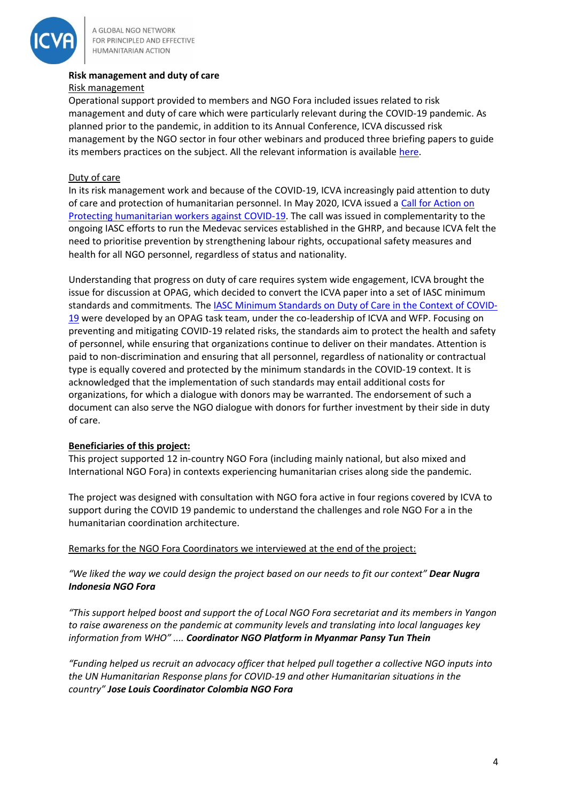

# **Risk management and duty of care**

#### Risk management

Operational support provided to members and NGO Fora included issues related to risk management and duty of care which were particularly relevant during the COVID-19 pandemic. As planned prior to the pandemic, in addition to its Annual Conference, ICVA discussed risk management by the NGO sector in four other webinars and produced three briefing papers to guide its members practices on the subject. All the relevant information is available [here.](https://www.icvanetwork.org/risk-management-practice-learning-stream)

#### Duty of care

In its risk management work and because of the COVID-19, ICVA increasingly paid attention to duty of care and protection of humanitarian personnel. In May 2020, ICVA issued a [Call for Action on](https://www.icvanetwork.org/system/files/versions/Protecting%20humanitarian%20workers%20against%20COVID-19.pdf)  [Protecting humanitarian workers against COVID-19.](https://www.icvanetwork.org/system/files/versions/Protecting%20humanitarian%20workers%20against%20COVID-19.pdf) The call was issued in complementarity to the ongoing IASC efforts to run the Medevac services established in the GHRP, and because ICVA felt the need to prioritise prevention by strengthening labour rights, occupational safety measures and health for all NGO personnel, regardless of status and nationality.

Understanding that progress on duty of care requires system wide engagement, ICVA brought the issue for discussion at OPAG, which decided to convert the ICVA paper into a set of IASC minimum standards and commitments*.* The [IASC Minimum Standards on Duty of Care in the Context of COVID-](https://interagencystandingcommittee.org/operational-policy-and-advocacy-group/iasc-minimum-standards-duty-care-context-covid-19)[19](https://interagencystandingcommittee.org/operational-policy-and-advocacy-group/iasc-minimum-standards-duty-care-context-covid-19) were developed by an OPAG task team, under the co-leadership of ICVA and WFP. Focusing on preventing and mitigating COVID-19 related risks, the standards aim to protect the health and safety of personnel, while ensuring that organizations continue to deliver on their mandates. Attention is paid to non-discrimination and ensuring that all personnel, regardless of nationality or contractual type is equally covered and protected by the minimum standards in the COVID-19 context. It is acknowledged that the implementation of such standards may entail additional costs for organizations, for which a dialogue with donors may be warranted. The endorsement of such a document can also serve the NGO dialogue with donors for further investment by their side in duty of care.

# **Beneficiaries of this project:**

This project supported 12 in-country NGO Fora (including mainly national, but also mixed and International NGO Fora) in contexts experiencing humanitarian crises along side the pandemic.

The project was designed with consultation with NGO fora active in four regions covered by ICVA to support during the COVID 19 pandemic to understand the challenges and role NGO For a in the humanitarian coordination architecture.

#### Remarks for the NGO Fora Coordinators we interviewed at the end of the project:

*"We liked the way we could design the project based on our needs to fit our context" Dear Nugra Indonesia NGO Fora*

*"This support helped boost and support the of Local NGO Fora secretariat and its members in Yangon to raise awareness on the pandemic at community levels and translating into local languages key information from WHO" .... Coordinator NGO Platform in Myanmar Pansy Tun Thein*

*"Funding helped us recruit an advocacy officer that helped pull together a collective NGO inputs into the UN Humanitarian Response plans for COVID-19 and other Humanitarian situations in the country" Jose Louis Coordinator Colombia NGO Fora*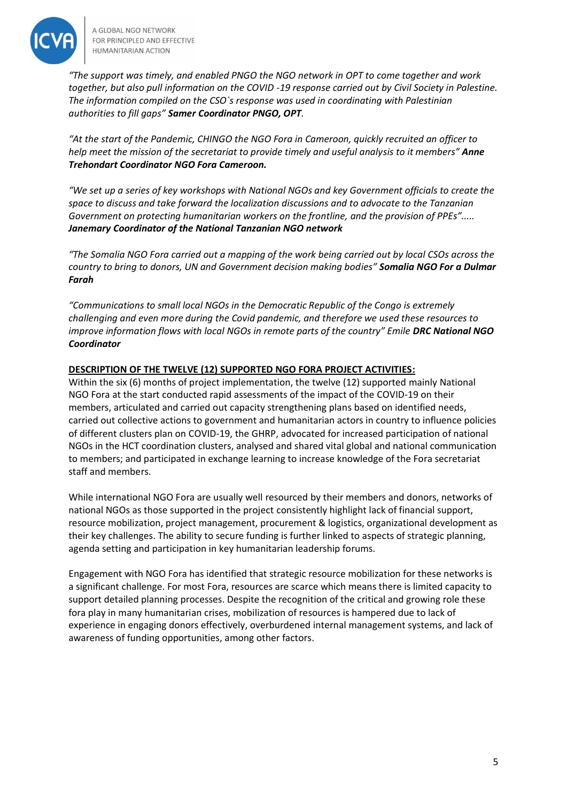

*"The support was timely, and enabled PNGO the NGO network in OPT to come together and work together, but also pull information on the COVID -19 response carried out by Civil Society in Palestine. The information compiled on the CSO`s response was used in coordinating with Palestinian authorities to fill gaps" Samer Coordinator PNGO, OPT.*

*"At the start of the Pandemic, CHINGO the NGO Fora in Cameroon, quickly recruited an officer to help meet the mission of the secretariat to provide timely and useful analysis to it members" Anne Trehondart Coordinator NGO Fora Cameroon.*

*"We set up a series of key workshops with National NGOs and key Government officials to create the space to discuss and take forward the localization discussions and to advocate to the Tanzanian Government on protecting humanitarian workers on the frontline, and the provision of PPEs"..... Janemary Coordinator of the National Tanzanian NGO network*

*"The Somalia NGO Fora carried out a mapping of the work being carried out by local CSOs across the country to bring to donors, UN and Government decision making bodies" Somalia NGO For a Dulmar Farah*

*"Communications to small local NGOs in the Democratic Republic of the Congo is extremely challenging and even more during the Covid pandemic, and therefore we used these resources to improve information flows with local NGOs in remote parts of the country" Emile DRC National NGO Coordinator*

# **DESCRIPTION OF THE TWELVE (12) SUPPORTED NGO FORA PROJECT ACTIVITIES:**

Within the six (6) months of project implementation, the twelve (12) supported mainly National NGO Fora at the start conducted rapid assessments of the impact of the COVID-19 on their members, articulated and carried out capacity strengthening plans based on identified needs, carried out collective actions to government and humanitarian actors in country to influence policies of different clusters plan on COVID-19, the GHRP, advocated for increased participation of national NGOs in the HCT coordination clusters, analysed and shared vital global and national communication to members; and participated in exchange learning to increase knowledge of the Fora secretariat staff and members.

While international NGO Fora are usually well resourced by their members and donors, networks of national NGOs as those supported in the project consistently highlight lack of financial support, resource mobilization, project management, procurement & logistics, organizational development as their key challenges. The ability to secure funding is further linked to aspects of strategic planning, agenda setting and participation in key humanitarian leadership forums.

Engagement with NGO Fora has identified that strategic resource mobilization for these networks is a significant challenge. For most Fora, resources are scarce which means there is limited capacity to support detailed planning processes. Despite the recognition of the critical and growing role these fora play in many humanitarian crises, mobilization of resources is hampered due to lack of experience in engaging donors effectively, overburdened internal management systems, and lack of awareness of funding opportunities, among other factors.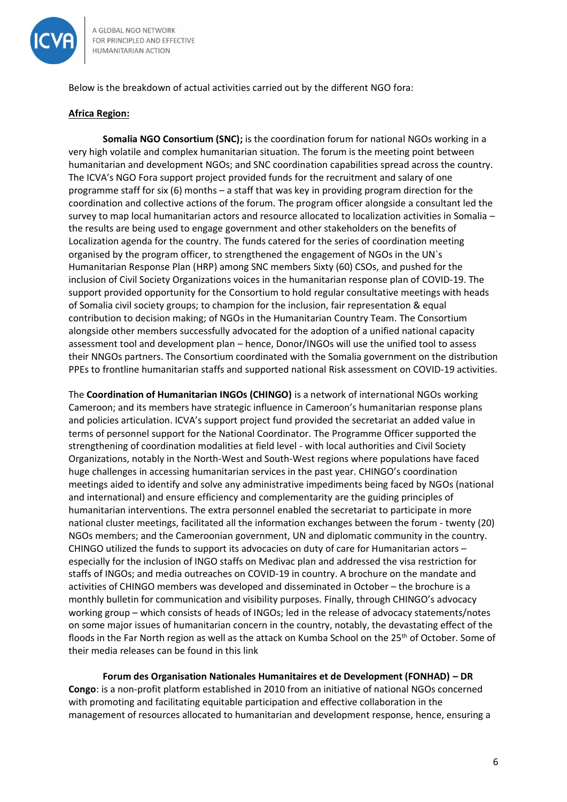

Below is the breakdown of actual activities carried out by the different NGO fora:

#### **Africa Region:**

**Somalia NGO Consortium (SNC);** is the coordination forum for national NGOs working in a very high volatile and complex humanitarian situation. The forum is the meeting point between humanitarian and development NGOs; and SNC coordination capabilities spread across the country. The ICVA's NGO Fora support project provided funds for the recruitment and salary of one programme staff for six (6) months – a staff that was key in providing program direction for the coordination and collective actions of the forum. The program officer alongside a consultant led the survey to map local humanitarian actors and resource allocated to localization activities in Somalia – the results are being used to engage government and other stakeholders on the benefits of Localization agenda for the country. The funds catered for the series of coordination meeting organised by the program officer, to strengthened the engagement of NGOs in the UN`s Humanitarian Response Plan (HRP) among SNC members Sixty (60) CSOs, and pushed for the inclusion of Civil Society Organizations voices in the humanitarian response plan of COVID-19. The support provided opportunity for the Consortium to hold regular consultative meetings with heads of Somalia civil society groups; to champion for the inclusion, fair representation & equal contribution to decision making; of NGOs in the Humanitarian Country Team. The Consortium alongside other members successfully advocated for the adoption of a unified national capacity assessment tool and development plan – hence, Donor/INGOs will use the unified tool to assess their NNGOs partners. The Consortium coordinated with the Somalia government on the distribution PPEs to frontline humanitarian staffs and supported national Risk assessment on COVID-19 activities.

The **Coordination of Humanitarian INGOs (CHINGO)** is a network of international NGOs working Cameroon; and its members have strategic influence in Cameroon's humanitarian response plans and policies articulation. ICVA's support project fund provided the secretariat an added value in terms of personnel support for the National Coordinator. The Programme Officer supported the strengthening of coordination modalities at field level - with local authorities and Civil Society Organizations, notably in the North-West and South-West regions where populations have faced huge challenges in accessing humanitarian services in the past year. CHINGO's coordination meetings aided to identify and solve any administrative impediments being faced by NGOs (national and international) and ensure efficiency and complementarity are the guiding principles of humanitarian interventions. The extra personnel enabled the secretariat to participate in more national cluster meetings, facilitated all the information exchanges between the forum - twenty (20) NGOs members; and the Cameroonian government, UN and diplomatic community in the country. CHINGO utilized the funds to support its advocacies on duty of care for Humanitarian actors – especially for the inclusion of INGO staffs on Medivac plan and addressed the visa restriction for staffs of INGOs; and media outreaches on COVID-19 in country. A brochure on the mandate and activities of CHINGO members was developed and disseminated in October – the brochure is a monthly bulletin for communication and visibility purposes. Finally, through CHINGO's advocacy working group – which consists of heads of INGOs; led in the release of advocacy statements/notes on some major issues of humanitarian concern in the country, notably, the devastating effect of the floods in the Far North region as well as the attack on Kumba School on the 25<sup>th</sup> of October. Some of their media releases can be found in this link

**Forum des Organisation Nationales Humanitaires et de Development (FONHAD) – DR Congo**: is a non-profit platform established in 2010 from an initiative of national NGOs concerned with promoting and facilitating equitable participation and effective collaboration in the management of resources allocated to humanitarian and development response, hence, ensuring a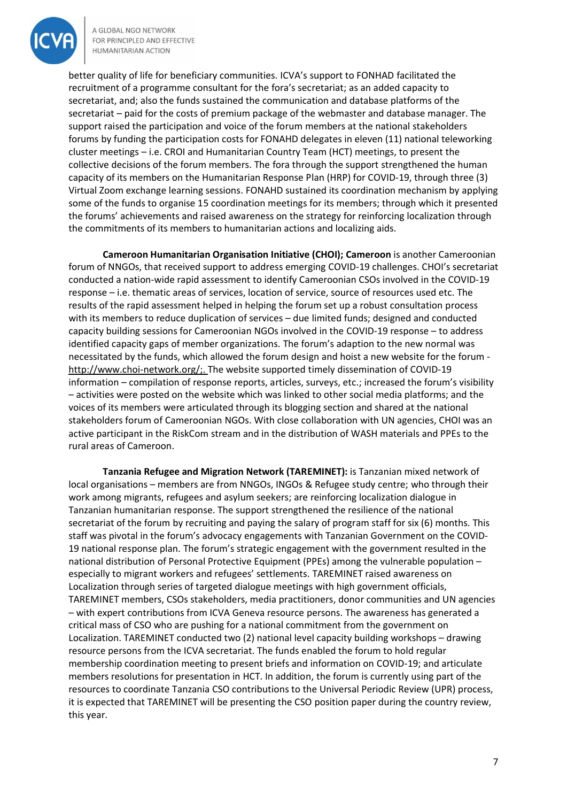

better quality of life for beneficiary communities. ICVA's support to FONHAD facilitated the recruitment of a programme consultant for the fora's secretariat; as an added capacity to secretariat, and; also the funds sustained the communication and database platforms of the secretariat – paid for the costs of premium package of the webmaster and database manager. The support raised the participation and voice of the forum members at the national stakeholders forums by funding the participation costs for FONAHD delegates in eleven (11) national teleworking cluster meetings – i.e. CROI and Humanitarian Country Team (HCT) meetings, to present the collective decisions of the forum members. The fora through the support strengthened the human capacity of its members on the Humanitarian Response Plan (HRP) for COVID-19, through three (3) Virtual Zoom exchange learning sessions. FONAHD sustained its coordination mechanism by applying some of the funds to organise 15 coordination meetings for its members; through which it presented the forums' achievements and raised awareness on the strategy for reinforcing localization through the commitments of its members to humanitarian actions and localizing aids.

**Cameroon Humanitarian Organisation Initiative (CHOI); Cameroon** is another Cameroonian forum of NNGOs, that received support to address emerging COVID-19 challenges. CHOI's secretariat conducted a nation-wide rapid assessment to identify Cameroonian CSOs involved in the COVID-19 response – i.e. thematic areas of services, location of service, source of resources used etc. The results of the rapid assessment helped in helping the forum set up a robust consultation process with its members to reduce duplication of services – due limited funds; designed and conducted capacity building sessions for Cameroonian NGOs involved in the COVID-19 response – to address identified capacity gaps of member organizations. The forum's adaption to the new normal was necessitated by the funds, which allowed the forum design and hoist a new website for the forum [http://www.choi-network.org/;](https://l.facebook.com/l.php?u=http%3A%2F%2Fwww.choi-network.org%2F%3Ffbclid%3DIwAR3NbW4-P9CuG6JX9lMsauwOx3f3D242hFStXc-l5sp-MdNka0-HNcCFMi8&h=AT1KwV0O4i2y9d2g9FsodeK7dJju-4Tj5zfatj-KxmA0pNWhfgstGUpJoqhXO1ckbmt0XH4K7uP8JXR0vT-8Ntzyr70WZ4LAxFHb00kV8jFmbg-44d9QerenGgZxEqVeDQ5U8Q). The website supported timely dissemination of COVID-19 information – compilation of response reports, articles, surveys, etc.; increased the forum's visibility – activities were posted on the website which was linked to other social media platforms; and the voices of its members were articulated through its blogging section and shared at the national stakeholders forum of Cameroonian NGOs. With close collaboration with UN agencies, CHOI was an active participant in the RiskCom stream and in the distribution of WASH materials and PPEs to the rural areas of Cameroon.

**Tanzania Refugee and Migration Network (TAREMINET):** is Tanzanian mixed network of local organisations – members are from NNGOs, INGOs & Refugee study centre; who through their work among migrants, refugees and asylum seekers; are reinforcing localization dialogue in Tanzanian humanitarian response. The support strengthened the resilience of the national secretariat of the forum by recruiting and paying the salary of program staff for six (6) months. This staff was pivotal in the forum's advocacy engagements with Tanzanian Government on the COVID-19 national response plan. The forum's strategic engagement with the government resulted in the national distribution of Personal Protective Equipment (PPEs) among the vulnerable population – especially to migrant workers and refugees' settlements. TAREMINET raised awareness on Localization through series of targeted dialogue meetings with high government officials, TAREMINET members, CSOs stakeholders, media practitioners, donor communities and UN agencies – with expert contributions from ICVA Geneva resource persons. The awareness has generated a critical mass of CSO who are pushing for a national commitment from the government on Localization. TAREMINET conducted two (2) national level capacity building workshops – drawing resource persons from the ICVA secretariat. The funds enabled the forum to hold regular membership coordination meeting to present briefs and information on COVID-19; and articulate members resolutions for presentation in HCT. In addition, the forum is currently using part of the resources to coordinate Tanzania CSO contributions to the Universal Periodic Review (UPR) process, it is expected that TAREMINET will be presenting the CSO position paper during the country review, this year.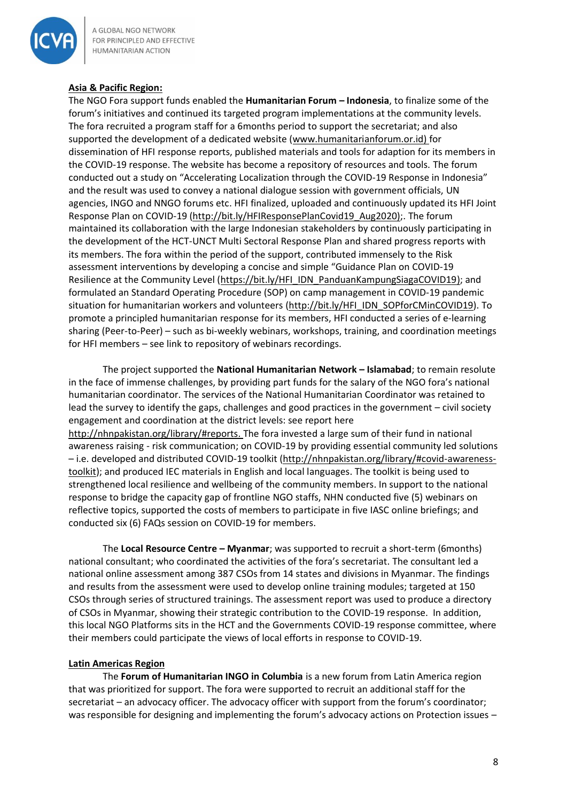

# **Asia & Pacific Region:**

The NGO Fora support funds enabled the **Humanitarian Forum – Indonesia**, to finalize some of the forum's initiatives and continued its targeted program implementations at the community levels. The fora recruited a program staff for a 6months period to support the secretariat; and also supported the development of a dedicated website [\(www.humanitarianforum.or.id\)](http://www.humanitarianforum.or.id/) for dissemination of HFI response reports, published materials and tools for adaption for its members in the COVID-19 response. The website has become a repository of resources and tools. The forum conducted out a study on "Accelerating Localization through the COVID-19 Response in Indonesia" and the result was used to convey a national dialogue session with government officials, UN agencies, INGO and NNGO forums etc. HFI finalized, uploaded and continuously updated its HFI Joint Response Plan on COVID-19 [\(http://bit.ly/HFIResponsePlanCovid19\\_Aug2020\);](http://bit.ly/HFIResponsePlanCovid19_Aug2020)). The forum maintained its collaboration with the large Indonesian stakeholders by continuously participating in the development of the HCT-UNCT Multi Sectoral Response Plan and shared progress reports with its members. The fora within the period of the support, contributed immensely to the Risk assessment interventions by developing a concise and simple "Guidance Plan on COVID-19 Resilience at the Community Level [\(https://bit.ly/HFI\\_IDN\\_PanduanKampungSiagaCOVID19\)](https://bit.ly/HFI_IDN_PanduanKampungSiagaCOVID19); and formulated an Standard Operating Procedure (SOP) on camp management in COVID-19 pandemic situation for humanitarian workers and volunteers [\(http://bit.ly/HFI\\_IDN\\_SOPforCMinCOVID19\)](http://bit.ly/HFI_IDN_SOPforCMinCOVID19). To promote a principled humanitarian response for its members, HFI conducted a series of e-learning sharing (Peer-to-Peer) – such as bi-weekly webinars, workshops, training, and coordination meetings for HFI members – see link to repository of webinars recordings.

The project supported the **National Humanitarian Network – Islamabad**; to remain resolute in the face of immense challenges, by providing part funds for the salary of the NGO fora's national humanitarian coordinator. The services of the National Humanitarian Coordinator was retained to lead the survey to identify the gaps, challenges and good practices in the government – civil society engagement and coordination at the district levels: see report here [http://nhnpakistan.org/library/#reports.](http://nhnpakistan.org/library/#reports) The fora invested a large sum of their fund in national awareness raising - risk communication; on COVID-19 by providing essential community led solutions – i.e. developed and distributed COVID-19 toolkit [\(http://nhnpakistan.org/library/#covid-awareness](http://nhnpakistan.org/library/#covid-awareness-toolkit)[toolkit\)](http://nhnpakistan.org/library/#covid-awareness-toolkit); and produced IEC materials in English and local languages. The toolkit is being used to strengthened local resilience and wellbeing of the community members. In support to the national response to bridge the capacity gap of frontline NGO staffs, NHN conducted five (5) webinars on reflective topics, supported the costs of members to participate in five IASC online briefings; and conducted six (6) FAQs session on COVID-19 for members.

The **Local Resource Centre – Myanmar**; was supported to recruit a short-term (6months) national consultant; who coordinated the activities of the fora's secretariat. The consultant led a national online assessment among 387 CSOs from 14 states and divisions in Myanmar. The findings and results from the assessment were used to develop online training modules; targeted at 150 CSOs through series of structured trainings. The assessment report was used to produce a directory of CSOs in Myanmar, showing their strategic contribution to the COVID-19 response. In addition, this local NGO Platforms sits in the HCT and the Governments COVID-19 response committee, where their members could participate the views of local efforts in response to COVID-19.

#### **Latin Americas Region**

The **Forum of Humanitarian INGO in Columbia** is a new forum from Latin America region that was prioritized for support. The fora were supported to recruit an additional staff for the secretariat – an advocacy officer. The advocacy officer with support from the forum's coordinator; was responsible for designing and implementing the forum's advocacy actions on Protection issues –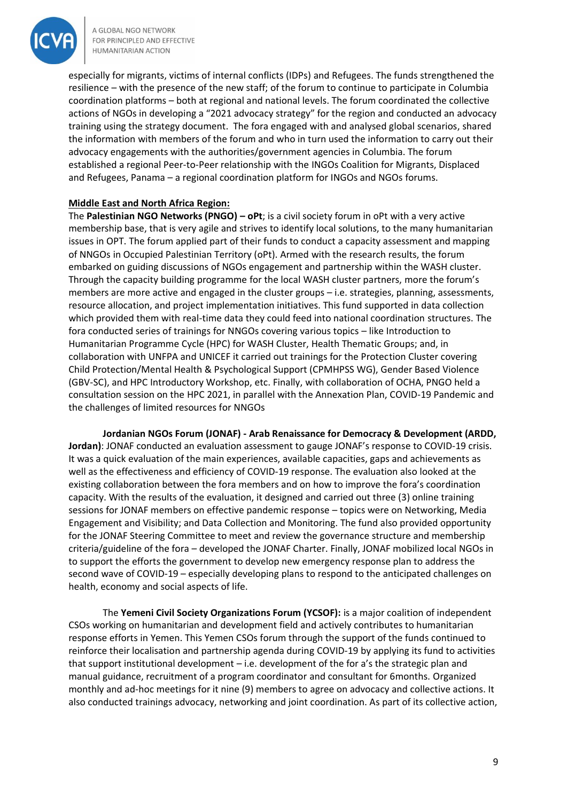

especially for migrants, victims of internal conflicts (IDPs) and Refugees. The funds strengthened the resilience – with the presence of the new staff; of the forum to continue to participate in Columbia coordination platforms – both at regional and national levels. The forum coordinated the collective actions of NGOs in developing a "2021 advocacy strategy" for the region and conducted an advocacy training using the strategy document. The fora engaged with and analysed global scenarios, shared the information with members of the forum and who in turn used the information to carry out their advocacy engagements with the authorities/government agencies in Columbia. The forum established a regional Peer-to-Peer relationship with the INGOs Coalition for Migrants, Displaced and Refugees, Panama – a regional coordination platform for INGOs and NGOs forums.

# **Middle East and North Africa Region:**

The **Palestinian NGO Networks (PNGO) – oPt**; is a civil society forum in oPt with a very active membership base, that is very agile and strives to identify local solutions, to the many humanitarian issues in OPT. The forum applied part of their funds to conduct a capacity assessment and mapping of NNGOs in Occupied Palestinian Territory (oPt). Armed with the research results, the forum embarked on guiding discussions of NGOs engagement and partnership within the WASH cluster. Through the capacity building programme for the local WASH cluster partners, more the forum's members are more active and engaged in the cluster groups – i.e. strategies, planning, assessments, resource allocation, and project implementation initiatives. This fund supported in data collection which provided them with real-time data they could feed into national coordination structures. The fora conducted series of trainings for NNGOs covering various topics – like Introduction to Humanitarian Programme Cycle (HPC) for WASH Cluster, Health Thematic Groups; and, in collaboration with UNFPA and UNICEF it carried out trainings for the Protection Cluster covering Child Protection/Mental Health & Psychological Support (CPMHPSS WG), Gender Based Violence (GBV-SC), and HPC Introductory Workshop, etc. Finally, with collaboration of OCHA, PNGO held a consultation session on the HPC 2021, in parallel with the Annexation Plan, COVID-19 Pandemic and the challenges of limited resources for NNGOs

**Jordanian NGOs Forum (JONAF) - Arab Renaissance for Democracy & Development (ARDD, Jordan)**: JONAF conducted an evaluation assessment to gauge JONAF's response to COVID-19 crisis. It was a quick evaluation of the main experiences, available capacities, gaps and achievements as well as the effectiveness and efficiency of COVID-19 response. The evaluation also looked at the existing collaboration between the fora members and on how to improve the fora's coordination capacity. With the results of the evaluation, it designed and carried out three (3) online training sessions for JONAF members on effective pandemic response – topics were on Networking, Media Engagement and Visibility; and Data Collection and Monitoring. The fund also provided opportunity for the JONAF Steering Committee to meet and review the governance structure and membership criteria/guideline of the fora – developed the JONAF Charter. Finally, JONAF mobilized local NGOs in to support the efforts the government to develop new emergency response plan to address the second wave of COVID-19 – especially developing plans to respond to the anticipated challenges on health, economy and social aspects of life.

The **Yemeni Civil Society Organizations Forum (YCSOF):** is a major coalition of independent CSOs working on humanitarian and development field and actively contributes to humanitarian response efforts in Yemen. This Yemen CSOs forum through the support of the funds continued to reinforce their localisation and partnership agenda during COVID-19 by applying its fund to activities that support institutional development – i.e. development of the for a's the strategic plan and manual guidance, recruitment of a program coordinator and consultant for 6months. Organized monthly and ad-hoc meetings for it nine (9) members to agree on advocacy and collective actions. It also conducted trainings advocacy, networking and joint coordination. As part of its collective action,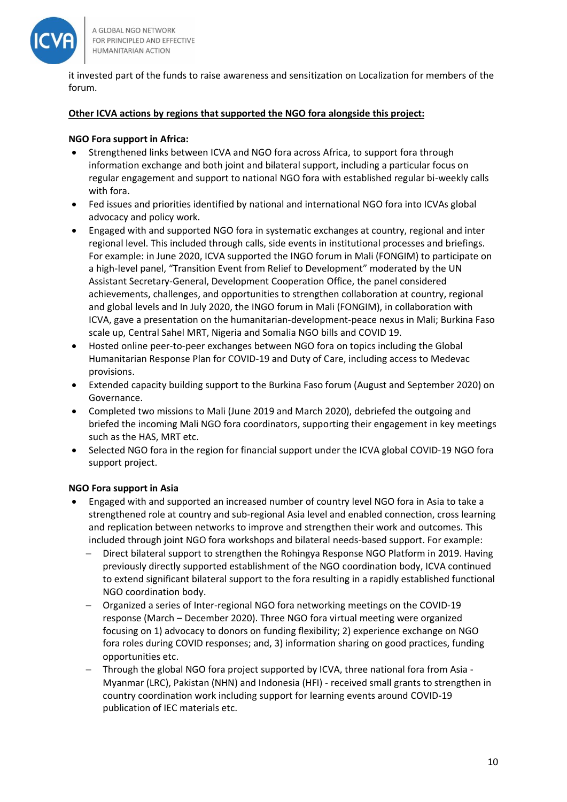

it invested part of the funds to raise awareness and sensitization on Localization for members of the forum.

#### **Other ICVA actions by regions that supported the NGO fora alongside this project:**

#### **NGO Fora support in Africa:**

- Strengthened links between ICVA and NGO fora across Africa, to support fora through information exchange and both joint and bilateral support, including a particular focus on regular engagement and support to national NGO fora with established regular bi-weekly calls with fora.
- Fed issues and priorities identified by national and international NGO fora into ICVAs global advocacy and policy work.
- Engaged with and supported NGO fora in systematic exchanges at country, regional and inter regional level. This included through calls, side events in institutional processes and briefings. For example: in June 2020, ICVA supported the INGO forum in Mali (FONGIM) to participate on a high-level panel, "Transition Event from Relief to Development" moderated by the UN Assistant Secretary-General, Development Cooperation Office, the panel considered achievements, challenges, and opportunities to strengthen collaboration at country, regional and global levels and In July 2020, the INGO forum in Mali (FONGIM), in collaboration with ICVA, gave a presentation on the humanitarian-development-peace nexus in Mali; Burkina Faso scale up, Central Sahel MRT, Nigeria and Somalia NGO bills and COVID 19.
- Hosted online peer-to-peer exchanges between NGO fora on topics including the Global Humanitarian Response Plan for COVID-19 and Duty of Care, including access to Medevac provisions.
- Extended capacity building support to the Burkina Faso forum (August and September 2020) on Governance.
- Completed two missions to Mali (June 2019 and March 2020), debriefed the outgoing and briefed the incoming Mali NGO fora coordinators, supporting their engagement in key meetings such as the HAS, MRT etc.
- Selected NGO fora in the region for financial support under the ICVA global COVID-19 NGO fora support project.

#### **NGO Fora support in Asia**

- Engaged with and supported an increased number of country level NGO fora in Asia to take a strengthened role at country and sub-regional Asia level and enabled connection, cross learning and replication between networks to improve and strengthen their work and outcomes. This included through joint NGO fora workshops and bilateral needs-based support. For example:
	- − Direct bilateral support to strengthen the Rohingya Response NGO Platform in 2019. Having previously directly supported establishment of the NGO coordination body, ICVA continued to extend significant bilateral support to the fora resulting in a rapidly established functional NGO coordination body.
	- − Organized a series of Inter-regional NGO fora networking meetings on the COVID-19 response (March – December 2020). Three NGO fora virtual meeting were organized focusing on 1) advocacy to donors on funding flexibility; 2) experience exchange on NGO fora roles during COVID responses; and, 3) information sharing on good practices, funding opportunities etc.
	- − Through the global NGO fora project supported by ICVA, three national fora from Asia Myanmar (LRC), Pakistan (NHN) and Indonesia (HFI) - received small grants to strengthen in country coordination work including support for learning events around COVID-19 publication of IEC materials etc.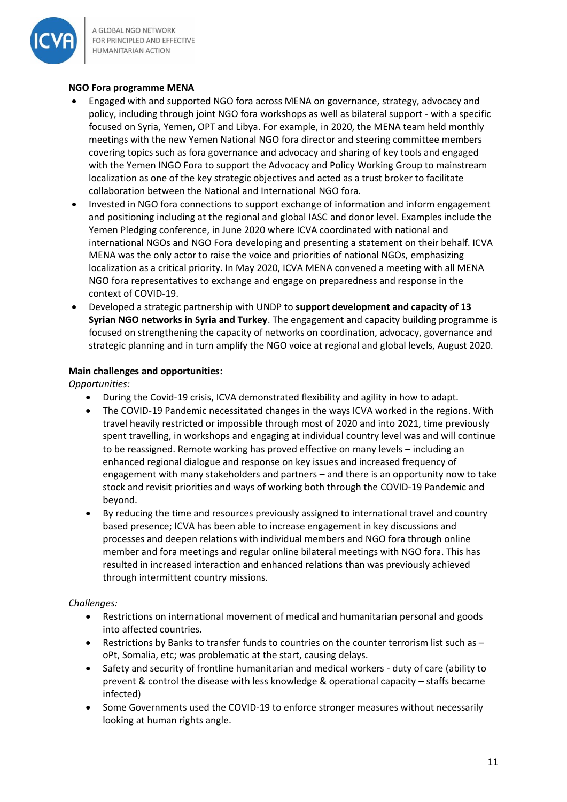

# **NGO Fora programme MENA**

- Engaged with and supported NGO fora across MENA on governance, strategy, advocacy and policy, including through joint NGO fora workshops as well as bilateral support - with a specific focused on Syria, Yemen, OPT and Libya. For example, in 2020, the MENA team held monthly meetings with the new Yemen National NGO fora director and steering committee members covering topics such as fora governance and advocacy and sharing of key tools and engaged with the Yemen INGO Fora to support the Advocacy and Policy Working Group to mainstream localization as one of the key strategic objectives and acted as a trust broker to facilitate collaboration between the National and International NGO fora.
- Invested in NGO fora connections to support exchange of information and inform engagement and positioning including at the regional and global IASC and donor level. Examples include the Yemen Pledging conference, in June 2020 where ICVA coordinated with national and international NGOs and NGO Fora developing and presenting a statement on their behalf. ICVA MENA was the only actor to raise the voice and priorities of national NGOs, emphasizing localization as a critical priority. In May 2020, ICVA MENA convened a meeting with all MENA NGO fora representatives to exchange and engage on preparedness and response in the context of COVID-19.
- Developed a strategic partnership with UNDP to **support development and capacity of 13 Syrian NGO networks in Syria and Turkey**. The engagement and capacity building programme is focused on strengthening the capacity of networks on coordination, advocacy, governance and strategic planning and in turn amplify the NGO voice at regional and global levels, August 2020.

# **Main challenges and opportunities:**

*Opportunities:*

- During the Covid-19 crisis, ICVA demonstrated flexibility and agility in how to adapt.
- The COVID-19 Pandemic necessitated changes in the ways ICVA worked in the regions. With travel heavily restricted or impossible through most of 2020 and into 2021, time previously spent travelling, in workshops and engaging at individual country level was and will continue to be reassigned. Remote working has proved effective on many levels – including an enhanced regional dialogue and response on key issues and increased frequency of engagement with many stakeholders and partners – and there is an opportunity now to take stock and revisit priorities and ways of working both through the COVID-19 Pandemic and beyond.
- By reducing the time and resources previously assigned to international travel and country based presence; ICVA has been able to increase engagement in key discussions and processes and deepen relations with individual members and NGO fora through online member and fora meetings and regular online bilateral meetings with NGO fora. This has resulted in increased interaction and enhanced relations than was previously achieved through intermittent country missions.

#### *Challenges:*

- Restrictions on international movement of medical and humanitarian personal and goods into affected countries.
- Restrictions by Banks to transfer funds to countries on the counter terrorism list such as oPt, Somalia, etc; was problematic at the start, causing delays.
- Safety and security of frontline humanitarian and medical workers duty of care (ability to prevent & control the disease with less knowledge & operational capacity – staffs became infected)
- Some Governments used the COVID-19 to enforce stronger measures without necessarily looking at human rights angle.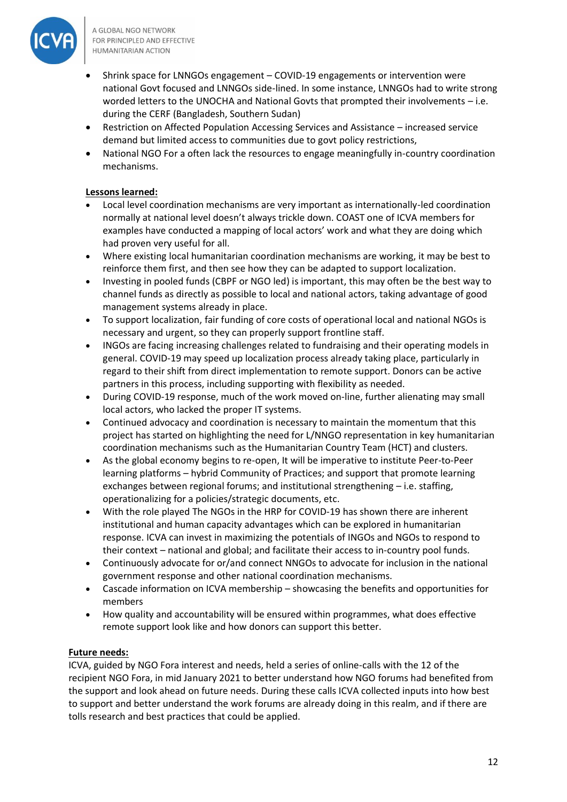

- Shrink space for LNNGOs engagement COVID-19 engagements or intervention were national Govt focused and LNNGOs side-lined. In some instance, LNNGOs had to write strong worded letters to the UNOCHA and National Govts that prompted their involvements – i.e. during the CERF (Bangladesh, Southern Sudan)
- Restriction on Affected Population Accessing Services and Assistance increased service demand but limited access to communities due to govt policy restrictions,
- National NGO For a often lack the resources to engage meaningfully in-country coordination mechanisms.

# **Lessons learned:**

- Local level coordination mechanisms are very important as internationally-led coordination normally at national level doesn't always trickle down. COAST one of ICVA members for examples have conducted a mapping of local actors' work and what they are doing which had proven very useful for all.
- Where existing local humanitarian coordination mechanisms are working, it may be best to reinforce them first, and then see how they can be adapted to support localization.
- Investing in pooled funds (CBPF or NGO led) is important, this may often be the best way to channel funds as directly as possible to local and national actors, taking advantage of good management systems already in place.
- To support localization, fair funding of core costs of operational local and national NGOs is necessary and urgent, so they can properly support frontline staff.
- INGOs are facing increasing challenges related to fundraising and their operating models in general. COVID-19 may speed up localization process already taking place, particularly in regard to their shift from direct implementation to remote support. Donors can be active partners in this process, including supporting with flexibility as needed.
- During COVID-19 response, much of the work moved on-line, further alienating may small local actors, who lacked the proper IT systems.
- Continued advocacy and coordination is necessary to maintain the momentum that this project has started on highlighting the need for L/NNGO representation in key humanitarian coordination mechanisms such as the Humanitarian Country Team (HCT) and clusters.
- As the global economy begins to re-open, It will be imperative to institute Peer-to-Peer learning platforms – hybrid Community of Practices; and support that promote learning exchanges between regional forums; and institutional strengthening – i.e. staffing, operationalizing for a policies/strategic documents, etc.
- With the role played The NGOs in the HRP for COVID-19 has shown there are inherent institutional and human capacity advantages which can be explored in humanitarian response. ICVA can invest in maximizing the potentials of INGOs and NGOs to respond to their context – national and global; and facilitate their access to in-country pool funds.
- Continuously advocate for or/and connect NNGOs to advocate for inclusion in the national government response and other national coordination mechanisms.
- Cascade information on ICVA membership showcasing the benefits and opportunities for members
- How quality and accountability will be ensured within programmes, what does effective remote support look like and how donors can support this better.

# **Future needs:**

ICVA, guided by NGO Fora interest and needs, held a series of online-calls with the 12 of the recipient NGO Fora, in mid January 2021 to better understand how NGO forums had benefited from the support and look ahead on future needs. During these calls ICVA collected inputs into how best to support and better understand the work forums are already doing in this realm, and if there are tolls research and best practices that could be applied.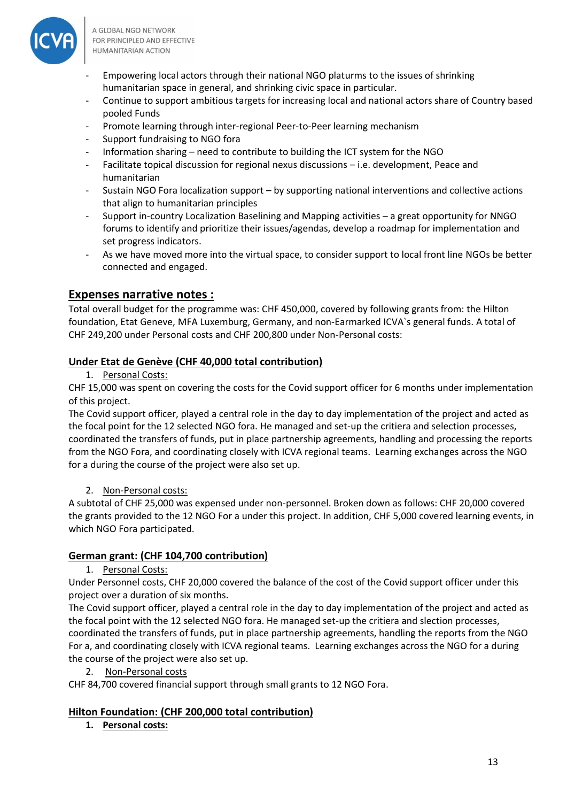

- Empowering local actors through their national NGO platurms to the issues of shrinking humanitarian space in general, and shrinking civic space in particular.
- Continue to support ambitious targets for increasing local and national actors share of Country based pooled Funds
- Promote learning through inter-regional Peer-to-Peer learning mechanism
- Support fundraising to NGO fora
- Information sharing need to contribute to building the ICT system for the NGO
- Facilitate topical discussion for regional nexus discussions i.e. development, Peace and humanitarian
- Sustain NGO Fora localization support by supporting national interventions and collective actions that align to humanitarian principles
- Support in-country Localization Baselining and Mapping activities a great opportunity for NNGO forums to identify and prioritize their issues/agendas, develop a roadmap for implementation and set progress indicators.
- As we have moved more into the virtual space, to consider support to local front line NGOs be better connected and engaged.

# **Expenses narrative notes :**

Total overall budget for the programme was: CHF 450,000, covered by following grants from: the Hilton foundation, Etat Geneve, MFA Luxemburg, Germany, and non-Earmarked ICVA`s general funds. A total of CHF 249,200 under Personal costs and CHF 200,800 under Non-Personal costs:

# **Under Etat de Genève (CHF 40,000 total contribution)**

1. Personal Costs:

CHF 15,000 was spent on covering the costs for the Covid support officer for 6 months under implementation of this project.

The Covid support officer, played a central role in the day to day implementation of the project and acted as the focal point for the 12 selected NGO fora. He managed and set-up the critiera and selection processes, coordinated the transfers of funds, put in place partnership agreements, handling and processing the reports from the NGO Fora, and coordinating closely with ICVA regional teams. Learning exchanges across the NGO for a during the course of the project were also set up.

# 2. Non-Personal costs:

A subtotal of CHF 25,000 was expensed under non-personnel. Broken down as follows: CHF 20,000 covered the grants provided to the 12 NGO For a under this project. In addition, CHF 5,000 covered learning events, in which NGO Fora participated.

# **German grant: (CHF 104,700 contribution)**

1. Personal Costs:

Under Personnel costs, CHF 20,000 covered the balance of the cost of the Covid support officer under this project over a duration of six months.

The Covid support officer, played a central role in the day to day implementation of the project and acted as the focal point with the 12 selected NGO fora. He managed set-up the critiera and slection processes, coordinated the transfers of funds, put in place partnership agreements, handling the reports from the NGO For a, and coordinating closely with ICVA regional teams. Learning exchanges across the NGO for a during the course of the project were also set up.

2. Non-Personal costs

CHF 84,700 covered financial support through small grants to 12 NGO Fora.

# **Hilton Foundation: (CHF 200,000 total contribution)**

**1. Personal costs:**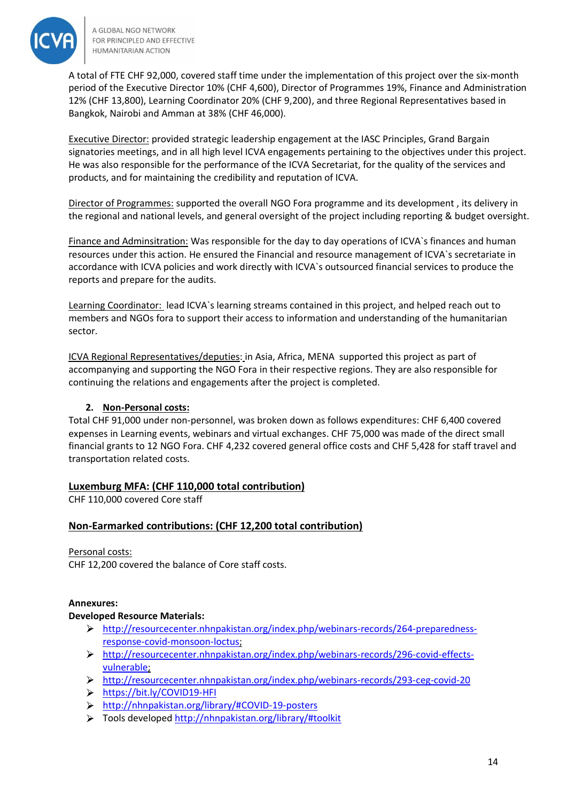

A total of FTE CHF 92,000, covered staff time under the implementation of this project over the six-month period of the Executive Director 10% (CHF 4,600), Director of Programmes 19%, Finance and Administration 12% (CHF 13,800), Learning Coordinator 20% (CHF 9,200), and three Regional Representatives based in Bangkok, Nairobi and Amman at 38% (CHF 46,000).

Executive Director: provided strategic leadership engagement at the IASC Principles, Grand Bargain signatories meetings, and in all high level ICVA engagements pertaining to the objectives under this project. He was also responsible for the performance of the ICVA Secretariat, for the quality of the services and products, and for maintaining the credibility and reputation of ICVA.

Director of Programmes: supported the overall NGO Fora programme and its development , its delivery in the regional and national levels, and general oversight of the project including reporting & budget oversight.

Finance and Adminsitration: Was responsible for the day to day operations of ICVA`s finances and human resources under this action. He ensured the Financial and resource management of ICVA`s secretariate in accordance with ICVA policies and work directly with ICVA`s outsourced financial services to produce the reports and prepare for the audits.

Learning Coordinator: lead ICVA's learning streams contained in this project, and helped reach out to members and NGOs fora to support their access to information and understanding of the humanitarian sector.

ICVA Regional Representatives/deputies: in Asia, Africa, MENA supported this project as part of accompanying and supporting the NGO Fora in their respective regions. They are also responsible for continuing the relations and engagements after the project is completed.

# **2. Non-Personal costs:**

Total CHF 91,000 under non-personnel, was broken down as follows expenditures: CHF 6,400 covered expenses in Learning events, webinars and virtual exchanges. CHF 75,000 was made of the direct small financial grants to 12 NGO Fora. CHF 4,232 covered general office costs and CHF 5,428 for staff travel and transportation related costs.

# **Luxemburg MFA: (CHF 110,000 total contribution)**

CHF 110,000 covered Core staff

# **Non-Earmarked contributions: (CHF 12,200 total contribution)**

#### Personal costs:

CHF 12,200 covered the balance of Core staff costs.

# **Annexures:**

#### **Developed Resource Materials:**

- [http://resourcecenter.nhnpakistan.org/index.php/webinars-records/264-preparedness](http://resourcecenter.nhnpakistan.org/index.php/webinars-records/264-preparedness-response-covid-monsoon-loctus)[response-covid-monsoon-loctus;](http://resourcecenter.nhnpakistan.org/index.php/webinars-records/264-preparedness-response-covid-monsoon-loctus)
- [http://resourcecenter.nhnpakistan.org/index.php/webinars-records/296-covid-effects](http://resourcecenter.nhnpakistan.org/index.php/webinars-records/296-covid-effects-vulnerable)[vulnerable;](http://resourcecenter.nhnpakistan.org/index.php/webinars-records/296-covid-effects-vulnerable)
- <http://resourcecenter.nhnpakistan.org/index.php/webinars-records/293-ceg-covid-20>
- <https://bit.ly/COVID19-HFI>
- $\blacktriangleright$ [http://nhnpakistan.org/library/#COVID-19-posters](http://nhnpakistan.org/library/#covid-19-posters )
- Tools developed<http://nhnpakistan.org/library/#toolkit>